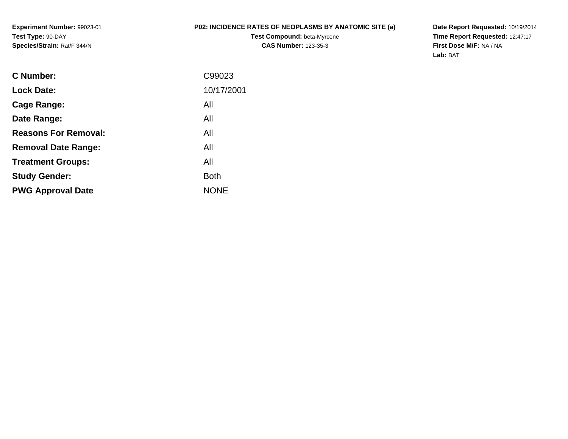**Experiment Number:** 99023-01**Test Type:** 90-DAY**Species/Strain:** Rat/F 344/N

## **P02: INCIDENCE RATES OF NEOPLASMS BY ANATOMIC SITE (a)**

**Test Compound:** beta-Myrcene**CAS Number:** 123-35-3

**Date Report Requested:** 10/19/2014 **Time Report Requested:** 12:47:17**First Dose M/F:** NA / NA**Lab:** BAT

| <b>C</b> Number:            | C99023      |
|-----------------------------|-------------|
| <b>Lock Date:</b>           | 10/17/2001  |
| Cage Range:                 | All         |
| Date Range:                 | All         |
| <b>Reasons For Removal:</b> | All         |
| <b>Removal Date Range:</b>  | All         |
| <b>Treatment Groups:</b>    | All         |
| <b>Study Gender:</b>        | <b>Both</b> |
| <b>PWG Approval Date</b>    | <b>NONE</b> |
|                             |             |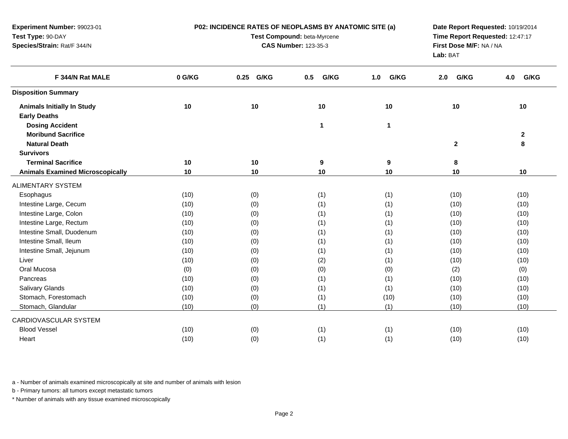| Experiment Number: 99023-01             |        | P02: INCIDENCE RATES OF NEOPLASMS BY ANATOMIC SITE (a) | Date Report Requested: 10/19/2014<br>Time Report Requested: 12:47:17 |              |              |              |  |
|-----------------------------------------|--------|--------------------------------------------------------|----------------------------------------------------------------------|--------------|--------------|--------------|--|
| Test Type: 90-DAY                       |        | Test Compound: beta-Myrcene                            |                                                                      |              |              |              |  |
| Species/Strain: Rat/F 344/N             |        | <b>CAS Number: 123-35-3</b>                            | First Dose M/F: NA / NA                                              |              |              |              |  |
|                                         |        |                                                        | Lab: BAT                                                             |              |              |              |  |
| F 344/N Rat MALE                        | 0 G/KG | 0.25 G/KG                                              | G/KG<br>0.5                                                          | 1.0<br>G/KG  | G/KG<br>2.0  | G/KG<br>4.0  |  |
| <b>Disposition Summary</b>              |        |                                                        |                                                                      |              |              |              |  |
| <b>Animals Initially In Study</b>       | 10     | 10                                                     | 10                                                                   | 10           | 10           | 10           |  |
| <b>Early Deaths</b>                     |        |                                                        |                                                                      |              |              |              |  |
| <b>Dosing Accident</b>                  |        |                                                        | $\mathbf{1}$                                                         | $\mathbf{1}$ |              |              |  |
| <b>Moribund Sacrifice</b>               |        |                                                        |                                                                      |              |              | $\mathbf{2}$ |  |
| <b>Natural Death</b>                    |        |                                                        |                                                                      |              | $\mathbf{2}$ | 8            |  |
| <b>Survivors</b>                        |        |                                                        |                                                                      |              |              |              |  |
| <b>Terminal Sacrifice</b>               | 10     | 10                                                     | 9                                                                    | 9            | 8            |              |  |
| <b>Animals Examined Microscopically</b> | 10     | 10                                                     | 10                                                                   | 10           | 10           | 10           |  |
| <b>ALIMENTARY SYSTEM</b>                |        |                                                        |                                                                      |              |              |              |  |
| Esophagus                               | (10)   | (0)                                                    | (1)                                                                  | (1)          | (10)         | (10)         |  |
| Intestine Large, Cecum                  | (10)   | (0)                                                    | (1)                                                                  | (1)          | (10)         | (10)         |  |
| Intestine Large, Colon                  | (10)   | (0)                                                    | (1)                                                                  | (1)          | (10)         | (10)         |  |
| Intestine Large, Rectum                 | (10)   | (0)                                                    | (1)                                                                  | (1)          | (10)         | (10)         |  |
| Intestine Small, Duodenum               | (10)   | (0)                                                    | (1)                                                                  | (1)          | (10)         | (10)         |  |
| Intestine Small, Ileum                  | (10)   | (0)                                                    | (1)                                                                  | (1)          | (10)         | (10)         |  |
| Intestine Small, Jejunum                | (10)   | (0)                                                    | (1)                                                                  | (1)          | (10)         | (10)         |  |
| Liver                                   | (10)   | (0)                                                    | (2)                                                                  | (1)          | (10)         | (10)         |  |
| Oral Mucosa                             | (0)    | (0)                                                    | (0)                                                                  | (0)          | (2)          | (0)          |  |
| Pancreas                                | (10)   | (0)                                                    | (1)                                                                  | (1)          | (10)         | (10)         |  |
| Salivary Glands                         | (10)   | (0)                                                    | (1)                                                                  | (1)          | (10)         | (10)         |  |
| Stomach, Forestomach                    | (10)   | (0)                                                    | (1)                                                                  | (10)         | (10)         | (10)         |  |
| Stomach, Glandular                      | (10)   | (0)                                                    | (1)                                                                  | (1)          | (10)         | (10)         |  |
| CARDIOVASCULAR SYSTEM                   |        |                                                        |                                                                      |              |              |              |  |
| <b>Blood Vessel</b>                     | (10)   | (0)                                                    | (1)                                                                  | (1)          | (10)         | (10)         |  |
| Heart                                   | (10)   | (0)                                                    | (1)                                                                  | (1)          | (10)         | (10)         |  |

a - Number of animals examined microscopically at site and number of animals with lesion

b - Primary tumors: all tumors except metastatic tumors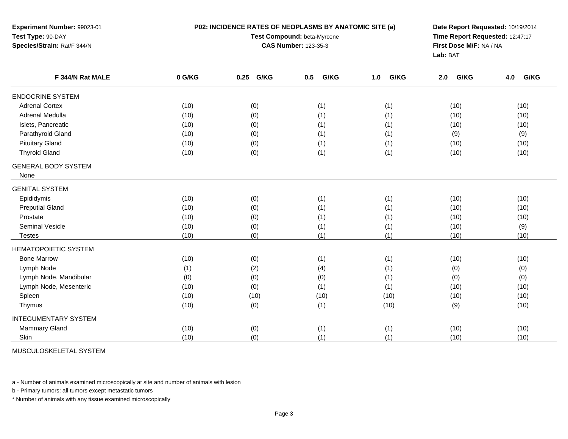| Experiment Number: 99023-01                                                                     |        | P02: INCIDENCE RATES OF NEOPLASMS BY ANATOMIC SITE (a) | Date Report Requested: 10/19/2014 |             |                                     |             |  |  |
|-------------------------------------------------------------------------------------------------|--------|--------------------------------------------------------|-----------------------------------|-------------|-------------------------------------|-------------|--|--|
| Test Type: 90-DAY<br>Species/Strain: Rat/F 344/N<br>F 344/N Rat MALE<br><b>ENDOCRINE SYSTEM</b> |        |                                                        | Test Compound: beta-Myrcene       |             | Time Report Requested: 12:47:17     |             |  |  |
|                                                                                                 |        |                                                        | <b>CAS Number: 123-35-3</b>       |             | First Dose M/F: NA / NA<br>Lab: BAT |             |  |  |
|                                                                                                 |        |                                                        |                                   |             |                                     |             |  |  |
|                                                                                                 | 0 G/KG | G/KG<br>0.25                                           | G/KG<br>0.5                       | G/KG<br>1.0 | G/KG<br>2.0                         | G/KG<br>4.0 |  |  |
|                                                                                                 |        |                                                        |                                   |             |                                     |             |  |  |
| <b>Adrenal Cortex</b>                                                                           | (10)   | (0)                                                    | (1)                               | (1)         | (10)                                | (10)        |  |  |
| Adrenal Medulla                                                                                 | (10)   | (0)                                                    | (1)                               | (1)         | (10)                                | (10)        |  |  |
| Islets, Pancreatic                                                                              | (10)   | (0)                                                    | (1)                               | (1)         | (10)                                | (10)        |  |  |
| Parathyroid Gland                                                                               | (10)   | (0)                                                    | (1)                               | (1)         | (9)                                 | (9)         |  |  |
| <b>Pituitary Gland</b>                                                                          | (10)   | (0)                                                    | (1)                               | (1)         | (10)                                | (10)        |  |  |
| <b>Thyroid Gland</b>                                                                            | (10)   | (0)                                                    | (1)                               | (1)         | (10)                                | (10)        |  |  |
| <b>GENERAL BODY SYSTEM</b>                                                                      |        |                                                        |                                   |             |                                     |             |  |  |
| None                                                                                            |        |                                                        |                                   |             |                                     |             |  |  |
| <b>GENITAL SYSTEM</b>                                                                           |        |                                                        |                                   |             |                                     |             |  |  |
| Epididymis                                                                                      | (10)   | (0)                                                    | (1)                               | (1)         | (10)                                | (10)        |  |  |
| <b>Preputial Gland</b>                                                                          | (10)   | (0)                                                    | (1)                               | (1)         | (10)                                | (10)        |  |  |
| Prostate                                                                                        | (10)   | (0)                                                    | (1)                               | (1)         | (10)                                | (10)        |  |  |
| Seminal Vesicle                                                                                 | (10)   | (0)                                                    | (1)                               | (1)         | (10)                                | (9)         |  |  |
| <b>Testes</b>                                                                                   | (10)   | (0)                                                    | (1)                               | (1)         | (10)                                | (10)        |  |  |
| <b>HEMATOPOIETIC SYSTEM</b>                                                                     |        |                                                        |                                   |             |                                     |             |  |  |
| <b>Bone Marrow</b>                                                                              | (10)   | (0)                                                    | (1)                               | (1)         | (10)                                | (10)        |  |  |
| Lymph Node                                                                                      | (1)    | (2)                                                    | (4)                               | (1)         | (0)                                 | (0)         |  |  |
| Lymph Node, Mandibular                                                                          | (0)    | (0)                                                    | (0)                               | (1)         | (0)                                 | (0)         |  |  |
| Lymph Node, Mesenteric                                                                          | (10)   | (0)                                                    | (1)                               | (1)         | (10)                                | (10)        |  |  |
| Spleen                                                                                          | (10)   | (10)                                                   | (10)                              | (10)        | (10)                                | (10)        |  |  |
| Thymus                                                                                          | (10)   | (0)                                                    | (1)                               | (10)        | (9)                                 | (10)        |  |  |
| <b>INTEGUMENTARY SYSTEM</b>                                                                     |        |                                                        |                                   |             |                                     |             |  |  |
| <b>Mammary Gland</b>                                                                            | (10)   | (0)                                                    | (1)                               | (1)         | (10)                                | (10)        |  |  |
| Skin                                                                                            | (10)   | (0)                                                    | (1)                               | (1)         | (10)                                | (10)        |  |  |
|                                                                                                 |        |                                                        |                                   |             |                                     |             |  |  |

MUSCULOSKELETAL SYSTEM

a - Number of animals examined microscopically at site and number of animals with lesion

b - Primary tumors: all tumors except metastatic tumors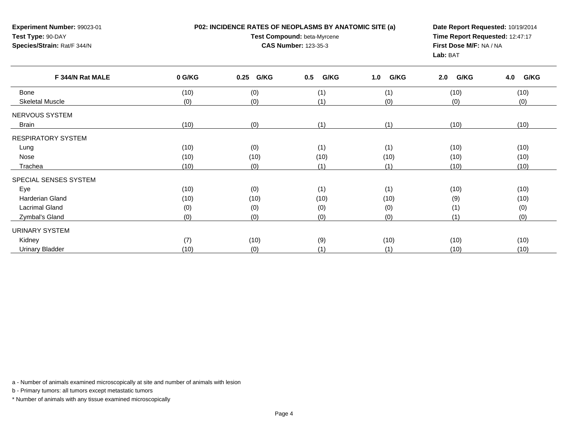| Experiment Number: 99023-01<br>Test Type: 90-DAY<br>Species/Strain: Rat/F 344/N |        | P02: INCIDENCE RATES OF NEOPLASMS BY ANATOMIC SITE (a)<br>Test Compound: beta-Myrcene<br><b>CAS Number: 123-35-3</b> | Date Report Requested: 10/19/2014<br>Time Report Requested: 12:47:17<br>First Dose M/F: NA / NA<br>Lab: BAT |             |             |             |
|---------------------------------------------------------------------------------|--------|----------------------------------------------------------------------------------------------------------------------|-------------------------------------------------------------------------------------------------------------|-------------|-------------|-------------|
| F 344/N Rat MALE                                                                | 0 G/KG | G/KG<br>0.25                                                                                                         | G/KG<br>0.5                                                                                                 | G/KG<br>1.0 | G/KG<br>2.0 | G/KG<br>4.0 |
| <b>Bone</b>                                                                     | (10)   | (0)                                                                                                                  | (1)                                                                                                         | (1)         | (10)        | (10)        |
| <b>Skeletal Muscle</b>                                                          | (0)    | (0)                                                                                                                  | (1)                                                                                                         | (0)         | (0)         | (0)         |
| NERVOUS SYSTEM                                                                  |        |                                                                                                                      |                                                                                                             |             |             |             |
| <b>Brain</b>                                                                    | (10)   | (0)                                                                                                                  | (1)                                                                                                         | (1)         | (10)        | (10)        |
| <b>RESPIRATORY SYSTEM</b>                                                       |        |                                                                                                                      |                                                                                                             |             |             |             |
| Lung                                                                            | (10)   | (0)                                                                                                                  | (1)                                                                                                         | (1)         | (10)        | (10)        |
| Nose                                                                            | (10)   | (10)                                                                                                                 | (10)                                                                                                        | (10)        | (10)        | (10)        |
| Trachea                                                                         | (10)   | (0)                                                                                                                  | (1)                                                                                                         | (1)         | (10)        | (10)        |
| SPECIAL SENSES SYSTEM                                                           |        |                                                                                                                      |                                                                                                             |             |             |             |
| Eye                                                                             | (10)   | (0)                                                                                                                  | (1)                                                                                                         | (1)         | (10)        | (10)        |
| <b>Harderian Gland</b>                                                          | (10)   | (10)                                                                                                                 | (10)                                                                                                        | (10)        | (9)         | (10)        |
| <b>Lacrimal Gland</b>                                                           | (0)    | (0)                                                                                                                  | (0)                                                                                                         | (0)         | (1)         | (0)         |
| Zymbal's Gland                                                                  | (0)    | (0)                                                                                                                  | (0)<br>(0)                                                                                                  |             | (1)         | (0)         |
| URINARY SYSTEM                                                                  |        |                                                                                                                      |                                                                                                             |             |             |             |
| Kidney                                                                          | (7)    | (10)                                                                                                                 | (9)                                                                                                         | (10)        | (10)        | (10)        |
| <b>Urinary Bladder</b>                                                          | (10)   | (0)                                                                                                                  | (1)<br>(1)                                                                                                  |             | (10)        | (10)        |

a - Number of animals examined microscopically at site and number of animals with lesion

b - Primary tumors: all tumors except metastatic tumors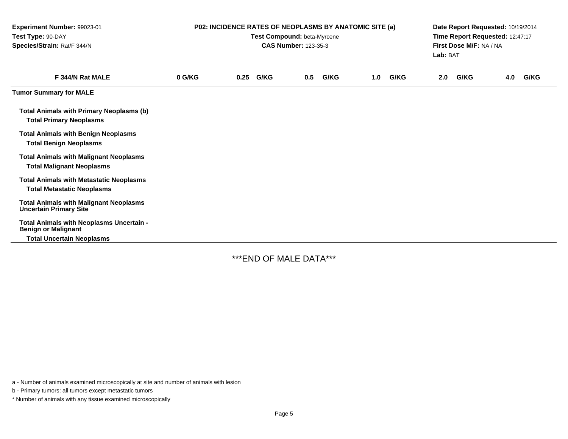| Experiment Number: 99023-01<br>Test Type: 90-DAY<br>Species/Strain: Rat/F 344/N     | P02: INCIDENCE RATES OF NEOPLASMS BY ANATOMIC SITE (a)<br>Test Compound: beta-Myrcene<br><b>CAS Number: 123-35-3</b> |      |      |     |      |     |      | Date Report Requested: 10/19/2014<br>Time Report Requested: 12:47:17<br>First Dose M/F: NA / NA<br>Lab: BAT |      |     |      |
|-------------------------------------------------------------------------------------|----------------------------------------------------------------------------------------------------------------------|------|------|-----|------|-----|------|-------------------------------------------------------------------------------------------------------------|------|-----|------|
| F 344/N Rat MALE                                                                    | 0 G/KG                                                                                                               | 0.25 | G/KG | 0.5 | G/KG | 1.0 | G/KG | 2.0                                                                                                         | G/KG | 4.0 | G/KG |
| <b>Tumor Summary for MALE</b>                                                       |                                                                                                                      |      |      |     |      |     |      |                                                                                                             |      |     |      |
| <b>Total Animals with Primary Neoplasms (b)</b><br><b>Total Primary Neoplasms</b>   |                                                                                                                      |      |      |     |      |     |      |                                                                                                             |      |     |      |
| <b>Total Animals with Benign Neoplasms</b><br><b>Total Benign Neoplasms</b>         |                                                                                                                      |      |      |     |      |     |      |                                                                                                             |      |     |      |
| <b>Total Animals with Malignant Neoplasms</b><br><b>Total Malignant Neoplasms</b>   |                                                                                                                      |      |      |     |      |     |      |                                                                                                             |      |     |      |
| <b>Total Animals with Metastatic Neoplasms</b><br><b>Total Metastatic Neoplasms</b> |                                                                                                                      |      |      |     |      |     |      |                                                                                                             |      |     |      |
| <b>Total Animals with Malignant Neoplasms</b><br><b>Uncertain Primary Site</b>      |                                                                                                                      |      |      |     |      |     |      |                                                                                                             |      |     |      |
| Total Animals with Neoplasms Uncertain -<br><b>Benign or Malignant</b>              |                                                                                                                      |      |      |     |      |     |      |                                                                                                             |      |     |      |
| <b>Total Uncertain Neoplasms</b>                                                    |                                                                                                                      |      |      |     |      |     |      |                                                                                                             |      |     |      |

\*\*\*END OF MALE DATA\*\*\*

a - Number of animals examined microscopically at site and number of animals with lesion

b - Primary tumors: all tumors except metastatic tumors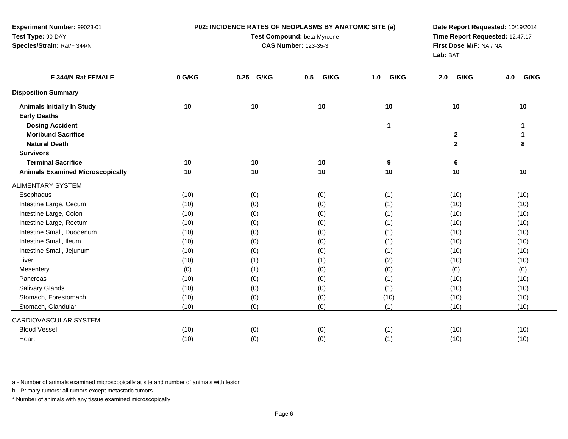| Experiment Number: 99023-01             |        | P02: INCIDENCE RATES OF NEOPLASMS BY ANATOMIC SITE (a) | Date Report Requested: 10/19/2014<br>Time Report Requested: 12:47:17<br>First Dose M/F: NA / NA |              |              |              |  |
|-----------------------------------------|--------|--------------------------------------------------------|-------------------------------------------------------------------------------------------------|--------------|--------------|--------------|--|
| Test Type: 90-DAY                       |        | Test Compound: beta-Myrcene                            |                                                                                                 |              |              |              |  |
| Species/Strain: Rat/F 344/N             |        | <b>CAS Number: 123-35-3</b>                            |                                                                                                 |              |              |              |  |
|                                         |        |                                                        |                                                                                                 | Lab: BAT     |              |              |  |
| F 344/N Rat FEMALE                      | 0 G/KG | G/KG<br>0.25                                           | G/KG<br>0.5                                                                                     | G/KG<br>1.0  | G/KG<br>2.0  | G/KG<br>4.0  |  |
| <b>Disposition Summary</b>              |        |                                                        |                                                                                                 |              |              |              |  |
| <b>Animals Initially In Study</b>       | 10     | 10                                                     | 10                                                                                              | 10           | 10           | 10           |  |
| <b>Early Deaths</b>                     |        |                                                        |                                                                                                 |              |              |              |  |
| <b>Dosing Accident</b>                  |        |                                                        |                                                                                                 | $\mathbf{1}$ |              | $\mathbf{1}$ |  |
| <b>Moribund Sacrifice</b>               |        |                                                        |                                                                                                 |              | $\mathbf 2$  | 1            |  |
| <b>Natural Death</b>                    |        |                                                        |                                                                                                 |              | $\mathbf{2}$ | 8            |  |
| <b>Survivors</b>                        |        |                                                        |                                                                                                 |              |              |              |  |
| <b>Terminal Sacrifice</b>               | 10     | 10                                                     | 10                                                                                              | 9            | 6            |              |  |
| <b>Animals Examined Microscopically</b> | 10     | 10                                                     | 10                                                                                              | 10           | 10           | 10           |  |
| <b>ALIMENTARY SYSTEM</b>                |        |                                                        |                                                                                                 |              |              |              |  |
| Esophagus                               | (10)   | (0)                                                    | (0)                                                                                             | (1)          | (10)         | (10)         |  |
| Intestine Large, Cecum                  | (10)   | (0)                                                    | (0)                                                                                             | (1)          | (10)         | (10)         |  |
| Intestine Large, Colon                  | (10)   | (0)                                                    | (0)                                                                                             | (1)          | (10)         | (10)         |  |
| Intestine Large, Rectum                 | (10)   | (0)                                                    | (0)                                                                                             | (1)          | (10)         | (10)         |  |
| Intestine Small, Duodenum               | (10)   | (0)                                                    | (0)                                                                                             | (1)          | (10)         | (10)         |  |
| Intestine Small, Ileum                  | (10)   | (0)                                                    | (0)                                                                                             | (1)          | (10)         | (10)         |  |
| Intestine Small, Jejunum                | (10)   | (0)                                                    | (0)                                                                                             | (1)          | (10)         | (10)         |  |
| Liver                                   | (10)   | (1)                                                    | (1)                                                                                             | (2)          | (10)         | (10)         |  |
| Mesentery                               | (0)    | (1)                                                    | (0)                                                                                             | (0)          | (0)          | (0)          |  |
| Pancreas                                | (10)   | (0)                                                    | (0)                                                                                             | (1)          | (10)         | (10)         |  |
| Salivary Glands                         | (10)   | (0)                                                    | (0)                                                                                             | (1)          | (10)         | (10)         |  |
| Stomach, Forestomach                    | (10)   | (0)                                                    | (0)                                                                                             | (10)         | (10)         | (10)         |  |
| Stomach, Glandular                      | (10)   | (0)                                                    | (0)                                                                                             | (1)          | (10)         | (10)         |  |
| CARDIOVASCULAR SYSTEM                   |        |                                                        |                                                                                                 |              |              |              |  |
| <b>Blood Vessel</b>                     | (10)   | (0)                                                    | (0)                                                                                             | (1)          | (10)         | (10)         |  |
| Heart                                   | (10)   | (0)                                                    | (0)                                                                                             | (1)          | (10)         | (10)         |  |
|                                         |        |                                                        |                                                                                                 |              |              |              |  |

a - Number of animals examined microscopically at site and number of animals with lesion

b - Primary tumors: all tumors except metastatic tumors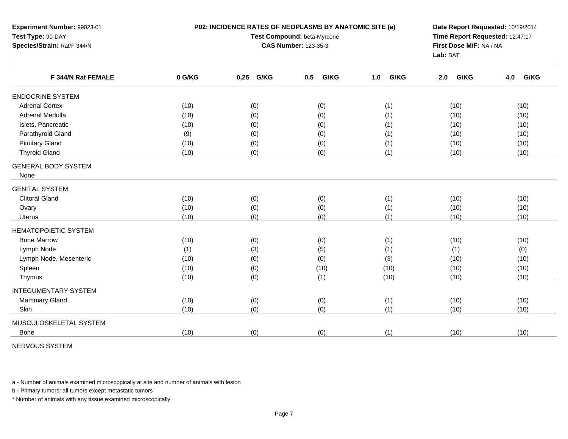| Experiment Number: 99023-01<br>Test Type: 90-DAY<br>Species/Strain: Rat/F 344/N |        | P02: INCIDENCE RATES OF NEOPLASMS BY ANATOMIC SITE (a)<br>Test Compound: beta-Myrcene<br><b>CAS Number: 123-35-3</b> | Date Report Requested: 10/19/2014<br>Time Report Requested: 12:47:17<br>First Dose M/F: NA / NA<br>Lab: BAT |             |             |             |
|---------------------------------------------------------------------------------|--------|----------------------------------------------------------------------------------------------------------------------|-------------------------------------------------------------------------------------------------------------|-------------|-------------|-------------|
| F 344/N Rat FEMALE                                                              | 0 G/KG | G/KG<br>0.25                                                                                                         | 0.5<br>G/KG                                                                                                 | G/KG<br>1.0 | G/KG<br>2.0 | G/KG<br>4.0 |
| <b>ENDOCRINE SYSTEM</b>                                                         |        |                                                                                                                      |                                                                                                             |             |             |             |
| <b>Adrenal Cortex</b>                                                           | (10)   | (0)                                                                                                                  | (0)                                                                                                         | (1)         | (10)        | (10)        |
| Adrenal Medulla                                                                 | (10)   | (0)                                                                                                                  | (0)                                                                                                         | (1)         | (10)        | (10)        |
| Islets, Pancreatic                                                              | (10)   | (0)                                                                                                                  | (0)                                                                                                         | (1)         | (10)        | (10)        |
| Parathyroid Gland                                                               | (9)    | (0)                                                                                                                  | (0)                                                                                                         | (1)         | (10)        | (10)        |
| <b>Pituitary Gland</b>                                                          | (10)   | (0)                                                                                                                  | (0)                                                                                                         | (1)         | (10)        | (10)        |
| <b>Thyroid Gland</b>                                                            | (10)   | (0)                                                                                                                  | (0)                                                                                                         | (1)         | (10)        | (10)        |
| <b>GENERAL BODY SYSTEM</b><br>None                                              |        |                                                                                                                      |                                                                                                             |             |             |             |
| <b>GENITAL SYSTEM</b>                                                           |        |                                                                                                                      |                                                                                                             |             |             |             |
| <b>Clitoral Gland</b>                                                           | (10)   | (0)                                                                                                                  | (0)                                                                                                         | (1)         | (10)        | (10)        |
| Ovary                                                                           | (10)   | (0)                                                                                                                  | (0)                                                                                                         | (1)         | (10)        | (10)        |
| Uterus                                                                          | (10)   | (0)                                                                                                                  | (0)                                                                                                         | (1)         | (10)        | (10)        |
| <b>HEMATOPOIETIC SYSTEM</b>                                                     |        |                                                                                                                      |                                                                                                             |             |             |             |
| <b>Bone Marrow</b>                                                              | (10)   | (0)                                                                                                                  | (0)                                                                                                         | (1)         | (10)        | (10)        |
| Lymph Node                                                                      | (1)    | (3)                                                                                                                  | (5)                                                                                                         | (1)         | (1)         | (0)         |
| Lymph Node, Mesenteric                                                          | (10)   | (0)                                                                                                                  | (0)                                                                                                         | (3)         | (10)        | (10)        |
| Spleen                                                                          | (10)   | (0)                                                                                                                  | (10)                                                                                                        | (10)        | (10)        | (10)        |
| Thymus                                                                          | (10)   | (0)                                                                                                                  | (1)                                                                                                         | (10)        | (10)        | (10)        |
| <b>INTEGUMENTARY SYSTEM</b>                                                     |        |                                                                                                                      |                                                                                                             |             |             |             |
| Mammary Gland                                                                   | (10)   | (0)                                                                                                                  | (0)                                                                                                         | (1)         | (10)        | (10)        |
| Skin                                                                            | (10)   | (0)                                                                                                                  | (0)                                                                                                         | (1)         | (10)        | (10)        |
| MUSCULOSKELETAL SYSTEM                                                          |        |                                                                                                                      |                                                                                                             |             |             |             |
| Bone                                                                            | (10)   | (0)                                                                                                                  | (0)                                                                                                         | (1)         | (10)        | (10)        |
|                                                                                 |        |                                                                                                                      |                                                                                                             |             |             |             |

NERVOUS SYSTEM

a - Number of animals examined microscopically at site and number of animals with lesion

b - Primary tumors: all tumors except metastatic tumors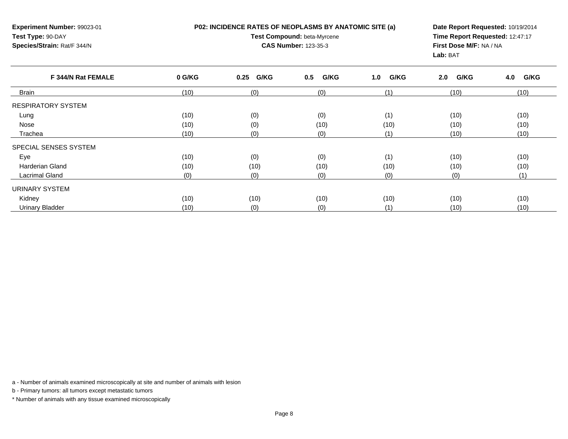**P02: INCIDENCE RATES OF NEOPLASMS BY ANATOMIC SITE (a)**

**Experiment Number:** 99023-01**Test Type:** 90-DAY**Species/Strain:** Rat/F 344/N

## **Test Compound:** beta-Myrcene**CAS Number:** 123-35-3

**Date Report Requested:** 10/19/2014**Time Report Requested:** 12:47:17**First Dose M/F:** NA / NA**Lab:** BAT

| F 344/N Rat FEMALE        | 0 G/KG | 0.25 G/KG | G/KG<br>0.5 | G/KG<br>1.0 | G/KG<br>2.0 | G/KG<br>4.0 |
|---------------------------|--------|-----------|-------------|-------------|-------------|-------------|
| <b>Brain</b>              | (10)   | (0)       | (0)         | (1)         | (10)        | (10)        |
| <b>RESPIRATORY SYSTEM</b> |        |           |             |             |             |             |
| Lung                      | (10)   | (0)       | (0)         | (1)         | (10)        | (10)        |
| Nose                      | (10)   | (0)       | (10)        | (10)        | (10)        | (10)        |
| Trachea                   | (10)   | (0)       | (0)         | (1)         | (10)        | (10)        |
| SPECIAL SENSES SYSTEM     |        |           |             |             |             |             |
| Eye                       | (10)   | (0)       | (0)         | (1)         | (10)        | (10)        |
| <b>Harderian Gland</b>    | (10)   | (10)      | (10)        | (10)        | (10)        | (10)        |
| <b>Lacrimal Gland</b>     | (0)    | (0)       | (0)         | (0)         | (0)         | (1)         |
| <b>URINARY SYSTEM</b>     |        |           |             |             |             |             |
| Kidney                    | (10)   | (10)      | (10)        | (10)        | (10)        | (10)        |
| <b>Urinary Bladder</b>    | (10)   | (0)       | (0)         | (1)         | (10)        | (10)        |

a - Number of animals examined microscopically at site and number of animals with lesion

b - Primary tumors: all tumors except metastatic tumors